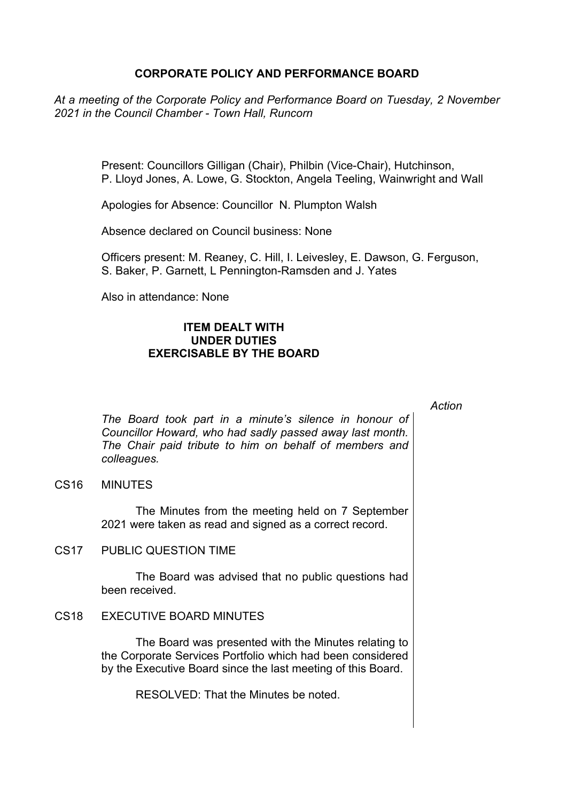# **CORPORATE POLICY AND PERFORMANCE BOARD**

*At a meeting of the Corporate Policy and Performance Board on Tuesday, 2 November 2021 in the Council Chamber - Town Hall, Runcorn*

> Present: Councillors Gilligan (Chair), Philbin (Vice-Chair), Hutchinson, P. Lloyd Jones, A. Lowe, G. Stockton, Angela Teeling, Wainwright and Wall

Apologies for Absence: Councillor N. Plumpton Walsh

Absence declared on Council business: None

Officers present: M. Reaney, C. Hill, I. Leivesley, E. Dawson, G. Ferguson, S. Baker, P. Garnett, L Pennington-Ramsden and J. Yates

Also in attendance: None

### **ITEM DEALT WITH UNDER DUTIES EXERCISABLE BY THE BOARD**

#### *Action*

*The Board took part in a minute's silence in honour of Councillor Howard, who had sadly passed away last month. The Chair paid tribute to him on behalf of members and colleagues.*

CS16 MINUTES

The Minutes from the meeting held on 7 September 2021 were taken as read and signed as a correct record.

CS17 PUBLIC QUESTION TIME

The Board was advised that no public questions had been received.

# CS18 EXECUTIVE BOARD MINUTES

The Board was presented with the Minutes relating to the Corporate Services Portfolio which had been considered by the Executive Board since the last meeting of this Board.

RESOLVED: That the Minutes be noted.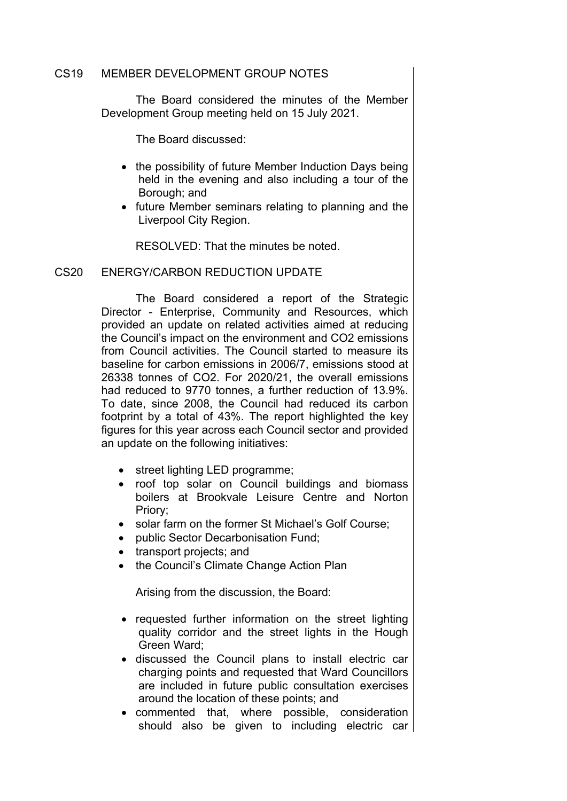#### CS19 MEMBER DEVELOPMENT GROUP NOTES

The Board considered the minutes of the Member Development Group meeting held on 15 July 2021.

The Board discussed:

- the possibility of future Member Induction Days being held in the evening and also including a tour of the Borough; and
- future Member seminars relating to planning and the Liverpool City Region.

RESOLVED: That the minutes be noted.

# CS20 ENERGY/CARBON REDUCTION UPDATE

The Board considered a report of the Strategic Director - Enterprise, Community and Resources, which provided an update on related activities aimed at reducing the Council's impact on the environment and CO2 emissions from Council activities. The Council started to measure its baseline for carbon emissions in 2006/7, emissions stood at 26338 tonnes of CO2. For 2020/21, the overall emissions had reduced to 9770 tonnes, a further reduction of 13.9%. To date, since 2008, the Council had reduced its carbon footprint by a total of 43%. The report highlighted the key figures for this year across each Council sector and provided an update on the following initiatives:

- street lighting LED programme;
- roof top solar on Council buildings and biomass boilers at Brookvale Leisure Centre and Norton Priory;
- solar farm on the former St Michael's Golf Course:
- public Sector Decarbonisation Fund;
- transport projects; and
- the Council's Climate Change Action Plan

Arising from the discussion, the Board:

- requested further information on the street lighting quality corridor and the street lights in the Hough Green Ward;
- discussed the Council plans to install electric car charging points and requested that Ward Councillors are included in future public consultation exercises around the location of these points; and
- commented that, where possible, consideration should also be given to including electric car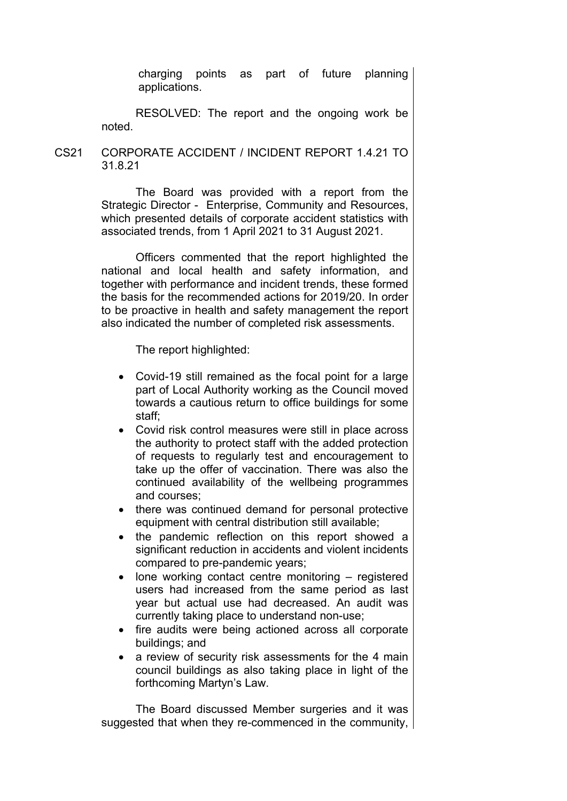charging points as part of future planning applications.

RESOLVED: The report and the ongoing work be noted.

CS21 CORPORATE ACCIDENT / INCIDENT REPORT 1.4.21 TO 31.8.21

> The Board was provided with a report from the Strategic Director - Enterprise, Community and Resources, which presented details of corporate accident statistics with associated trends, from 1 April 2021 to 31 August 2021.

> Officers commented that the report highlighted the national and local health and safety information, and together with performance and incident trends, these formed the basis for the recommended actions for 2019/20. In order to be proactive in health and safety management the report also indicated the number of completed risk assessments.

> > The report highlighted:

- Covid-19 still remained as the focal point for a large part of Local Authority working as the Council moved towards a cautious return to office buildings for some staff;
- Covid risk control measures were still in place across the authority to protect staff with the added protection of requests to regularly test and encouragement to take up the offer of vaccination. There was also the continued availability of the wellbeing programmes and courses;
- there was continued demand for personal protective equipment with central distribution still available;
- the pandemic reflection on this report showed a significant reduction in accidents and violent incidents compared to pre-pandemic years;
- lone working contact centre monitoring registered users had increased from the same period as last year but actual use had decreased. An audit was currently taking place to understand non-use;
- fire audits were being actioned across all corporate buildings; and
- a review of security risk assessments for the 4 main council buildings as also taking place in light of the forthcoming Martyn's Law.

The Board discussed Member surgeries and it was suggested that when they re-commenced in the community,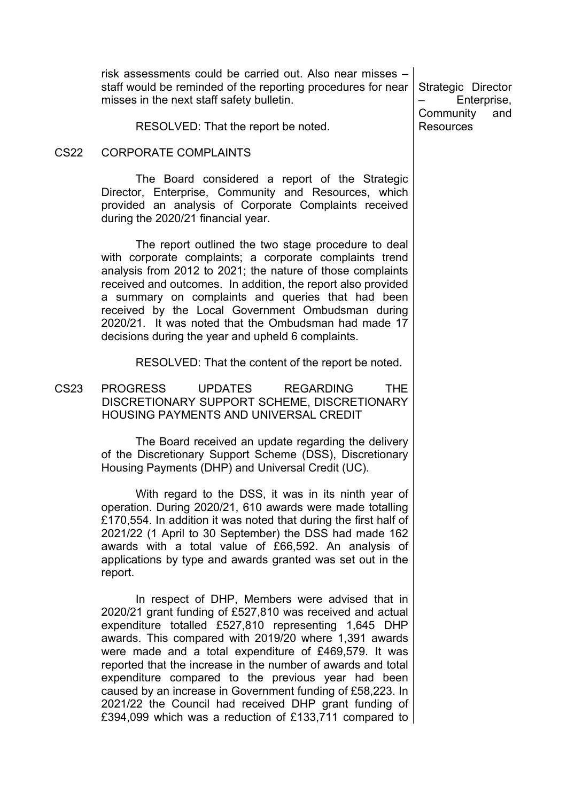risk assessments could be carried out. Also near misses – staff would be reminded of the reporting procedures for near misses in the next staff safety bulletin.

RESOLVED: That the report be noted.

#### CS22 CORPORATE COMPLAINTS

The Board considered a report of the Strategic Director, Enterprise, Community and Resources, which provided an analysis of Corporate Complaints received during the 2020/21 financial year.

The report outlined the two stage procedure to deal with corporate complaints; a corporate complaints trend analysis from 2012 to 2021; the nature of those complaints received and outcomes. In addition, the report also provided a summary on complaints and queries that had been received by the Local Government Ombudsman during 2020/21. It was noted that the Ombudsman had made 17 decisions during the year and upheld 6 complaints.

RESOLVED: That the content of the report be noted.

CS23 PROGRESS UPDATES REGARDING THE DISCRETIONARY SUPPORT SCHEME, DISCRETIONARY HOUSING PAYMENTS AND UNIVERSAL CREDIT

> The Board received an update regarding the delivery of the Discretionary Support Scheme (DSS), Discretionary Housing Payments (DHP) and Universal Credit (UC).

> With regard to the DSS, it was in its ninth year of operation. During 2020/21, 610 awards were made totalling £170,554. In addition it was noted that during the first half of 2021/22 (1 April to 30 September) the DSS had made 162 awards with a total value of £66,592. An analysis of applications by type and awards granted was set out in the report.

> In respect of DHP, Members were advised that in 2020/21 grant funding of £527,810 was received and actual expenditure totalled £527,810 representing 1,645 DHP awards. This compared with 2019/20 where 1,391 awards were made and a total expenditure of £469,579. It was reported that the increase in the number of awards and total expenditure compared to the previous year had been caused by an increase in Government funding of £58,223. In 2021/22 the Council had received DHP grant funding of £394,099 which was a reduction of £133,711 compared to

Strategic Director – Enterprise, Community and Resources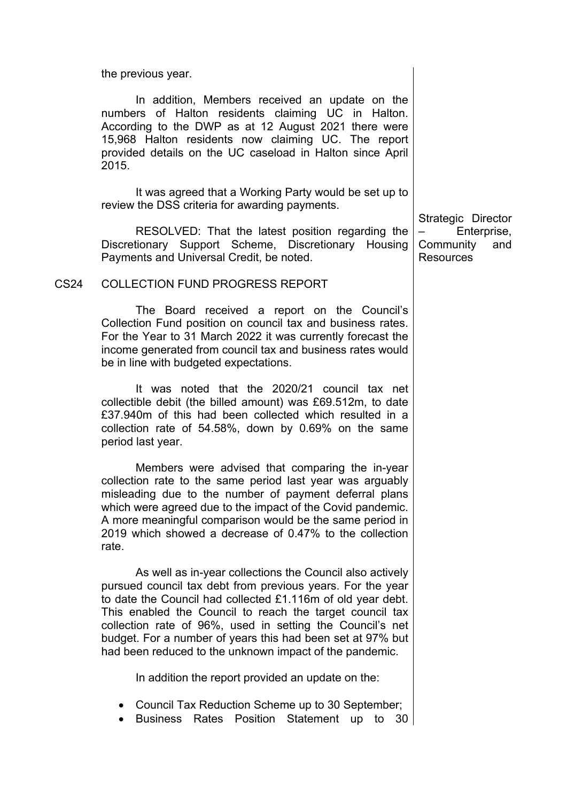|             | the previous year.                                                                                                                                                                                                                                                                                                                                                                                                                      |                                                                           |
|-------------|-----------------------------------------------------------------------------------------------------------------------------------------------------------------------------------------------------------------------------------------------------------------------------------------------------------------------------------------------------------------------------------------------------------------------------------------|---------------------------------------------------------------------------|
|             | In addition, Members received an update on the<br>numbers of Halton residents claiming UC in Halton.<br>According to the DWP as at 12 August 2021 there were<br>15,968 Halton residents now claiming UC. The report<br>provided details on the UC caseload in Halton since April<br>2015.                                                                                                                                               |                                                                           |
|             | It was agreed that a Working Party would be set up to<br>review the DSS criteria for awarding payments.                                                                                                                                                                                                                                                                                                                                 |                                                                           |
|             | RESOLVED: That the latest position regarding the<br>Discretionary Support Scheme, Discretionary Housing<br>Payments and Universal Credit, be noted.                                                                                                                                                                                                                                                                                     | Strategic Director<br>Enterprise,<br>Community<br>and<br><b>Resources</b> |
| <b>CS24</b> | <b>COLLECTION FUND PROGRESS REPORT</b>                                                                                                                                                                                                                                                                                                                                                                                                  |                                                                           |
|             | The Board received a report on the Council's<br>Collection Fund position on council tax and business rates.<br>For the Year to 31 March 2022 it was currently forecast the<br>income generated from council tax and business rates would<br>be in line with budgeted expectations.                                                                                                                                                      |                                                                           |
|             | It was noted that the 2020/21 council tax net<br>collectible debit (the billed amount) was £69.512m, to date<br>£37.940m of this had been collected which resulted in a<br>collection rate of 54.58%, down by 0.69% on the same<br>period last year.                                                                                                                                                                                    |                                                                           |
|             | Members were advised that comparing the in-year<br>collection rate to the same period last year was arguably<br>misleading due to the number of payment deferral plans<br>which were agreed due to the impact of the Covid pandemic.<br>A more meaningful comparison would be the same period in<br>2019 which showed a decrease of 0.47% to the collection<br>rate.                                                                    |                                                                           |
|             | As well as in-year collections the Council also actively<br>pursued council tax debt from previous years. For the year<br>to date the Council had collected £1.116m of old year debt.<br>This enabled the Council to reach the target council tax<br>collection rate of 96%, used in setting the Council's net<br>budget. For a number of years this had been set at 97% but<br>had been reduced to the unknown impact of the pandemic. |                                                                           |
|             | In addition the report provided an update on the:                                                                                                                                                                                                                                                                                                                                                                                       |                                                                           |
|             | Council Tax Reduction Scheme up to 30 September;<br><b>Business</b><br>Rates<br>Position<br><b>Statement</b><br>30<br>up<br>to                                                                                                                                                                                                                                                                                                          |                                                                           |